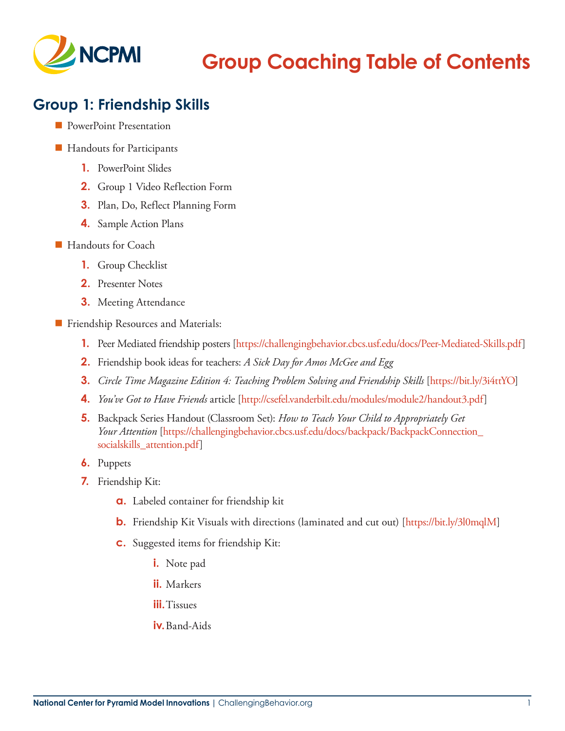

# **Group Coaching Table of Contents**

#### **Group 1: Friendship Skills**

- **PowerPoint Presentation**
- Handouts for Participants
	- **1.** PowerPoint Slides
	- **2.** Group 1 Video Reflection Form
	- **3.** Plan, Do, Reflect Planning Form
	- **4.** Sample Action Plans
- Handouts for Coach
	- **1.** Group Checklist
	- **2.** Presenter Notes
	- **3.** Meeting Attendance
- **Filter Friendship Resources and Materials:** 
	- **1.** Peer Mediated friendship posters [\[https://challengingbehavior.cbcs.usf.edu/docs/Peer-Mediated-Skills.pdf\]](https://challengingbehavior.cbcs.usf.edu/docs/Peer-Mediated-Skills.pdf)
	- **2.** Friendship book ideas for teachers: *A Sick Day for Amos McGee and Egg*
	- **3.** *Circle Time Magazine Edition 4: Teaching Problem Solving and Friendship Skills* [\[https://bit.ly/3i4ttYO](https://bit.ly/3i4ttYO)]
	- **4.** *You've Got to Have Friends* article [[http://csefel.vanderbilt.edu/modules/module2/handout3.pdf\]](http://csefel.vanderbilt.edu/modules/module2/handout3.pdf)
	- **5.** Backpack Series Handout (Classroom Set): *How to Teach Your Child to Appropriately Get Your Attention* [[https://challengingbehavior.cbcs.usf.edu/docs/backpack/BackpackConnection\\_](https://challengingbehavior.cbcs.usf.edu/docs/backpack/BackpackConnection_socialskills_attention.pdf) [socialskills\\_attention.pdf](https://challengingbehavior.cbcs.usf.edu/docs/backpack/BackpackConnection_socialskills_attention.pdf)]
	- **6.** Puppets
	- **7.** Friendship Kit:
		- **a.** Labeled container for friendship kit
		- **b.** Friendship Kit Visuals with directions (laminated and cut out) [<https://bit.ly/3l0mqlM>]
		- **c.** Suggested items for friendship Kit:
			- **i.** Note pad
			- **ii.** Markers
			- **iii.**Tissues
			- **iv.**Band-Aids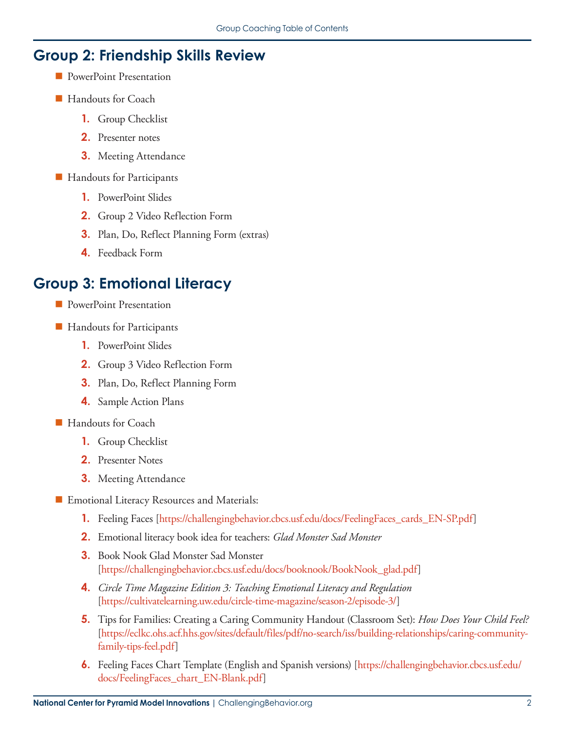#### **Group 2: Friendship Skills Review**

- **PowerPoint Presentation**
- Handouts for Coach
	- **1.** Group Checklist
	- **2.** Presenter notes
	- **3.** Meeting Attendance
- **Handouts for Participants** 
	- **1.** PowerPoint Slides
	- **2.** Group 2 Video Reflection Form
	- **3.** Plan, Do, Reflect Planning Form (extras)
	- **4.** Feedback Form

#### **Group 3: Emotional Literacy**

- **PowerPoint Presentation**
- Handouts for Participants
	- **1.** PowerPoint Slides
	- **2.** Group 3 Video Reflection Form
	- **3.** Plan, Do, Reflect Planning Form
	- **4.** Sample Action Plans
- Handouts for Coach
	- **1.** Group Checklist
	- **2.** Presenter Notes
	- **3.** Meeting Attendance
- **Emotional Literacy Resources and Materials:** 
	- **1.** Feeling Faces [[https://challengingbehavior.cbcs.usf.edu/docs/FeelingFaces\\_cards\\_EN-SP.pdf](https://challengingbehavior.cbcs.usf.edu/docs/FeelingFaces_cards_EN-SP.pdf)]
	- **2.** Emotional literacy book idea for teachers: *Glad Monster Sad Monster*
	- **3.** Book Nook Glad Monster Sad Monster [[https://challengingbehavior.cbcs.usf.edu/docs/booknook/BookNook\\_glad.pdf\]](https://challengingbehavior.cbcs.usf.edu/docs/booknook/BookNook_glad.pdf)
	- **4.** *Circle Time Magazine Edition 3: Teaching Emotional Literacy and Regulation* [[https://cultivatelearning.uw.edu/circle-time-magazine/season-2/episode-3/\]](https://cultivatelearning.uw.edu/circle-time-magazine/season-2/episode-3/)
	- **5.** Tips for Families: Creating a Caring Community Handout (Classroom Set): *How Does Your Child Feel?*  [[https://eclkc.ohs.acf.hhs.gov/sites/default/files/pdf/no-search/iss/building-relationships/caring-community](https://eclkc.ohs.acf.hhs.gov/sites/default/files/pdf/no-search/iss/building-relationships/caring-coommunity-family-tips-feel.pdf)[family-tips-feel.pdf\]](https://eclkc.ohs.acf.hhs.gov/sites/default/files/pdf/no-search/iss/building-relationships/caring-coommunity-family-tips-feel.pdf)
	- **6.** Feeling Faces Chart Template (English and Spanish versions) [[https://challengingbehavior.cbcs.usf.edu/](https://challengingbehavior.cbcs.usf.edu/docs/FeelingFaces_chart_EN-Blank.pdf) [docs/FeelingFaces\\_chart\\_EN-Blank.pdf\]](https://challengingbehavior.cbcs.usf.edu/docs/FeelingFaces_chart_EN-Blank.pdf)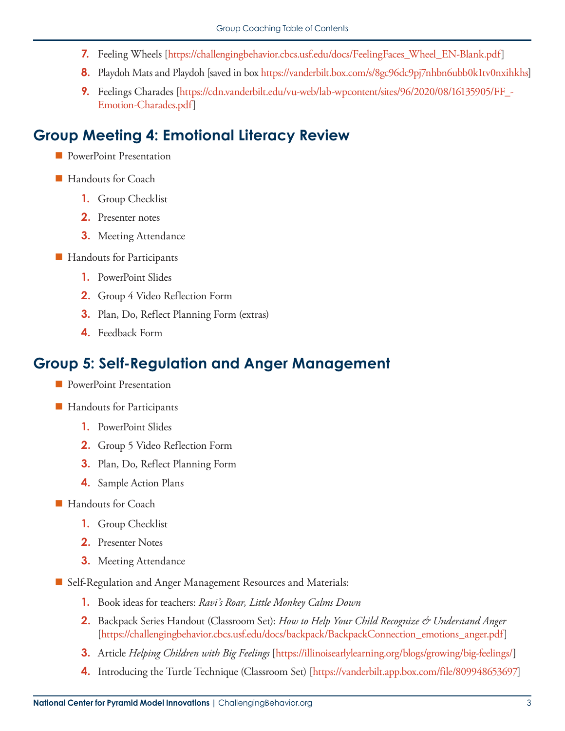- **7.** Feeling Wheels [\[https://challengingbehavior.cbcs.usf.edu/docs/FeelingFaces\\_Wheel\\_EN-Blank.pdf](https://challengingbehavior.cbcs.usf.edu/docs/FeelingFaces_Wheel_EN-Blank.pdf)]
- **8.** Playdoh Mats and Playdoh [saved in box<https://vanderbilt.box.com/s/8gc96dc9pj7nhbn6ubb0k1tv0nxihkhs>]
- **9.** Feelings Charades [[https://cdn.vanderbilt.edu/vu-web/lab-wpcontent/sites/96/2020/08/16135905/FF\\_-](https://cdn.vanderbilt.edu/vu-web/lab-wpcontent/sites/96/2020/08/16135905/FF_-Emotion-Charades.pdf) [Emotion-Charades.pdf\]](https://cdn.vanderbilt.edu/vu-web/lab-wpcontent/sites/96/2020/08/16135905/FF_-Emotion-Charades.pdf)

### **Group Meeting 4: Emotional Literacy Review**

- **PowerPoint Presentation**
- Handouts for Coach
	- **1.** Group Checklist
	- **2.** Presenter notes
	- **3.** Meeting Attendance
- **Handouts for Participants** 
	- **1.** PowerPoint Slides
	- **2.** Group 4 Video Reflection Form
	- **3.** Plan, Do, Reflect Planning Form (extras)
	- **4.** Feedback Form

#### **Group 5: Self-Regulation and Anger Management**

- **PowerPoint Presentation**
- Handouts for Participants
	- **1.** PowerPoint Slides
	- **2.** Group 5 Video Reflection Form
	- **3.** Plan, Do, Reflect Planning Form
	- **4.** Sample Action Plans
- Handouts for Coach
	- **1.** Group Checklist
	- **2.** Presenter Notes
	- **3.** Meeting Attendance
- Self-Regulation and Anger Management Resources and Materials:
	- **1.** Book ideas for teachers: *Ravi's Roar, Little Monkey Calms Down*
	- **2.** Backpack Series Handout (Classroom Set): *How to Help Your Child Recognize & Understand Anger*  [[https://challengingbehavior.cbcs.usf.edu/docs/backpack/BackpackConnection\\_emotions\\_anger.pdf](https://challengingbehavior.cbcs.usf.edu/docs/backpack/BackpackConnection_emotions_anger.pdf)]
	- **3.** Article *Helping Children with Big Feelings* [[https://illinoisearlylearning.org/blogs/growing/big-feelings/\]](https://illinoisearlylearning.org/blogs/growing/big-feelings/)
	- **4.** Introducing the Turtle Technique (Classroom Set) [\[https://vanderbilt.app.box.com/file/809948653697\]](https://vanderbilt.app.box.com/file/809948653697)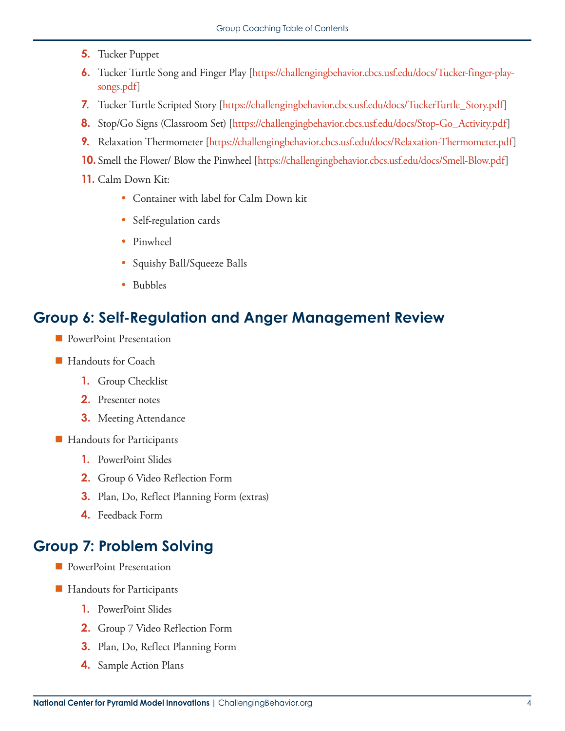- **5.** Tucker Puppet
- **6.** Tucker Turtle Song and Finger Play [[https://challengingbehavior.cbcs.usf.edu/docs/Tucker-finger-play](https://challengingbehavior.cbcs.usf.edu/docs/Tucker-finger-play-songs.pdf)[songs.pdf\]](https://challengingbehavior.cbcs.usf.edu/docs/Tucker-finger-play-songs.pdf)
- **7.** Tucker Turtle Scripted Story [\[https://challengingbehavior.cbcs.usf.edu/docs/TuckerTurtle\\_Story.pdf](https://challengingbehavior.cbcs.usf.edu/docs/TuckerTurtle_Story.pdf)]
- **8.** Stop/Go Signs (Classroom Set) [\[https://challengingbehavior.cbcs.usf.edu/docs/Stop-Go\\_Activity.pdf\]](https://challengingbehavior.cbcs.usf.edu/docs/Stop-Go_Activity.pdf)
- **9.** Relaxation Thermometer [<https://challengingbehavior.cbcs.usf.edu/docs/Relaxation-Thermometer.pdf>]
- **10.** Smell the Flower/ Blow the Pinwheel [\[https://challengingbehavior.cbcs.usf.edu/docs/Smell-Blow.pdf\]](https://challengingbehavior.cbcs.usf.edu/docs/Smell-Blow.pdf)
- **11.** Calm Down Kit:
	- Container with label for Calm Down kit
	- Self-regulation cards
	- Pinwheel
	- Squishy Ball/Squeeze Balls
	- Bubbles

#### **Group 6: Self-Regulation and Anger Management Review**

- **PowerPoint Presentation**
- Handouts for Coach
	- **1.** Group Checklist
	- **2.** Presenter notes
	- **3.** Meeting Attendance
- Handouts for Participants
	- **1.** PowerPoint Slides
	- **2.** Group 6 Video Reflection Form
	- **3.** Plan, Do, Reflect Planning Form (extras)
	- **4.** Feedback Form

## **Group 7: Problem Solving**

- **PowerPoint Presentation**
- **Handouts for Participants** 
	- **1.** PowerPoint Slides
	- **2.** Group 7 Video Reflection Form
	- **3.** Plan, Do, Reflect Planning Form
	- **4.** Sample Action Plans